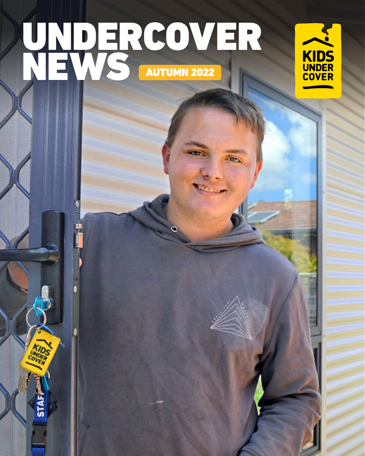# UNDERCOVER NEWS AUTUMN 2022

 $\bullet$ 

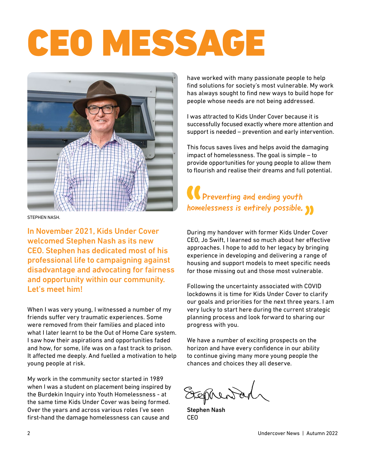# CEO MESSAGE



STEPHEN NASH.

In November 2021, Kids Under Cover welcomed Stephen Nash as its new CEO. Stephen has dedicated most of his professional life to campaigning against disadvantage and advocating for fairness and opportunity within our community. Let's meet him!

When I was very young, I witnessed a number of my friends suffer very traumatic experiences. Some were removed from their families and placed into what I later learnt to be the Out of Home Care system. I saw how their aspirations and opportunities faded and how, for some, life was on a fast track to prison. It affected me deeply. And fuelled a motivation to help young people at risk.

My work in the community sector started in 1989 when I was a student on placement being inspired by the Burdekin Inquiry into Youth Homelessness - at the same time Kids Under Cover was being formed. Over the years and across various roles I've seen first-hand the damage homelessness can cause and

have worked with many passionate people to help find solutions for society's most vulnerable. My work has always sought to find new ways to build hope for people whose needs are not being addressed.

I was attracted to Kids Under Cover because it is successfully focused exactly where more attention and support is needed – prevention and early intervention.

This focus saves lives and helps avoid the damaging impact of homelessness. The goal is simple – to provide opportunities for young people to allow them to flourish and realise their dreams and full potential.

### **CO** Preventing and ending youth homelessness is entirely possible.

During my handover with former Kids Under Cover CEO, Jo Swift, I learned so much about her effective approaches. I hope to add to her legacy by bringing experience in developing and delivering a range of housing and support models to meet specific needs for those missing out and those most vulnerable.

Following the uncertainty associated with COVID lockdowns it is time for Kids Under Cover to clarify our goals and priorities for the next three years. I am very lucky to start here during the current strategic planning process and look forward to sharing our progress with you.

We have a number of exciting prospects on the horizon and have every confidence in our ability to continue giving many more young people the chances and choices they all deserve.

Ephenta

Stephen Nash CEO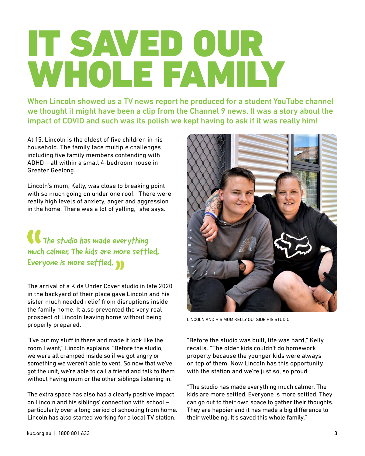## IT SAVED OUR WHOLE FAMILY

When Lincoln showed us a TV news report he produced for a student YouTube channel we thought it might have been a clip from the Channel 9 news. It was a story about the impact of COVID and such was its polish we kept having to ask if it was really him!

At 15, Lincoln is the oldest of five children in his household. The family face multiple challenges including five family members contending with ADHD – all within a small 4-bedroom house in Greater Geelong.

Lincoln's mum, Kelly, was close to breaking point with so much going on under one roof. "There were really high levels of anxiety, anger and aggression in the home. There was a lot of yelling," she says.

**The studio has made everything** much calmer. The kids are more settled. Everyone is more settled.

The arrival of a Kids Under Cover studio in late 2020 in the backyard of their place gave Lincoln and his sister much needed relief from disruptions inside the family home. It also prevented the very real prospect of Lincoln leaving home without being properly prepared.

"I've put my stuff in there and made it look like the room I want," Lincoln explains. "Before the studio, we were all cramped inside so if we got angry or something we weren't able to vent. So now that we've got the unit, we're able to call a friend and talk to them without having mum or the other siblings listening in."

The extra space has also had a clearly positive impact on Lincoln and his siblings' connection with school – particularly over a long period of schooling from home. Lincoln has also started working for a local TV station.



LINCOLN AND HIS MUM KELLY OUTSIDE HIS STUDIO.

"Before the studio was built, life was hard," Kelly recalls. "The older kids couldn't do homework properly because the younger kids were always on top of them. Now Lincoln has this opportunity with the station and we're just so, so proud.

"The studio has made everything much calmer. The kids are more settled. Everyone is more settled. They can go out to their own space to gather their thoughts. They are happier and it has made a big difference to their wellbeing. It's saved this whole family."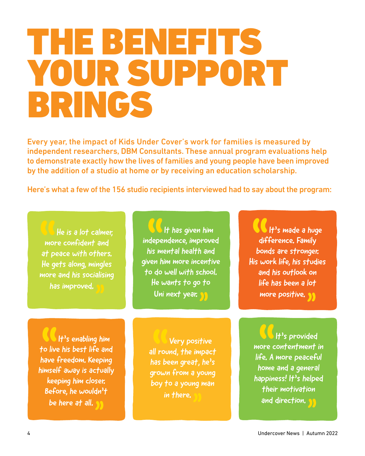### THE BENEFITS YOUR SUPPORT BRINGS

Every year, the impact of Kids Under Cover's work for families is measured by independent researchers, DBM Consultants. These annual program evaluations help to demonstrate exactly how the lives of families and young people have been improved by the addition of a studio at home or by receiving an education scholarship.

Here's what a few of the 156 studio recipients interviewed had to say about the program:

 He is a lot calmer, more confident and at peace with others. He gets along, mingles more and his socialising has improved.

 It has given him independence, improved his mental health and given him more incentive to do well with school. He wants to go to Uni next year.

It's made a huge difference. Family bonds are stronger. His work life, his studies and his outlook on life has been a lot more positive.

 It's enabling him to live his best life and have freedom. Keeping himself away is actually keeping him closer. Before, he wouldn't be here at all.

 Very positive all round, the impact has been great, he's grown from a young boy to a young man in there.

 It's provided more contentment in life. A more peaceful home and a general happiness! It's helped their motivation and direction.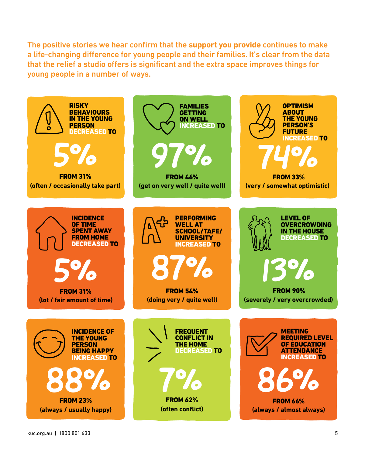The positive stories we hear confirm that the **support you provide** continues to make a life-changing difference for young people and their families. It's clear from the data that the relief a studio offers is significant and the extra space improves things for young people in a number of ways.

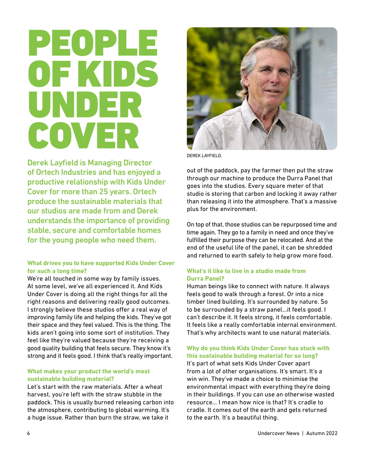### PEOPLE OF KIDS UNDER COVER

Derek Layfield is Managing Director of Ortech Industries and has enjoyed a productive relationship with Kids Under Cover for more than 25 years. Ortech produce the sustainable materials that our studios are made from and Derek understands the importance of providing stable, secure and comfortable homes for the young people who need them.

#### **What drives you to have supported Kids Under Cover for such a long time?**

We're all touched in some way by family issues. At some level, we've all experienced it. And Kids Under Cover is doing all the right things for all the right reasons and delivering really good outcomes. I strongly believe these studios offer a real way of improving family life and helping the kids. They've got their space and they feel valued. This is the thing. The kids aren't going into some sort of institution. They feel like they're valued because they're receiving a good quality building that feels secure. They know it's strong and it feels good. I think that's really important.

#### **What makes your product the world's most sustainable building material?**

Let's start with the raw materials. After a wheat harvest, you're left with the straw stubble in the paddock. This is usually burned releasing carbon into the atmosphere, contributing to global warming. It's a huge issue. Rather than burn the straw, we take it



DEREK LAYFIELD.

out of the paddock, pay the farmer then put the straw through our machine to produce the Durra Panel that goes into the studios. Every square meter of that studio is storing that carbon and locking it away rather than releasing it into the atmosphere. That's a massive plus for the environment.

On top of that, those studios can be repurposed time and time again. They go to a family in need and once they've fulfilled their purpose they can be relocated. And at the end of the useful life of the panel, it can be shredded and returned to earth safely to help grow more food.

#### **What's it like to live in a studio made from Durra Panel?**

Human beings like to connect with nature. It always feels good to walk through a forest. Or into a nice timber lined building. It's surrounded by nature. So to be surrounded by a straw panel…it feels good. I can't describe it. It feels strong, it feels comfortable. It feels like a really comfortable internal environment. That's why architects want to use natural materials.

#### **Why do you think Kids Under Cover has stuck with this sustainable building material for so long?**

It's part of what sets Kids Under Cover apart from a lot of other organisations. It's smart. It's a win win. They've made a choice to minimise the environmental impact with everything they're doing in their buildings. If you can use an otherwise wasted resource… I mean how nice is that? It's cradle to cradle. It comes out of the earth and gets returned to the earth. It's a beautiful thing.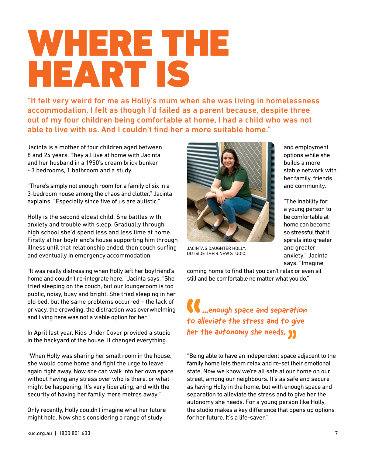### WHERE THE HEART IS

"It felt very weird for me as Holly's mum when she was living in homelessness accommodation. I felt as though I'd failed as a parent because, despite three out of my four children being comfortable at home, I had a child who was not able to live with us. And I couldn't find her a more suitable home."

Jacinta is a mother of four children aged between 8 and 24 years. They all live at home with Jacinta and her husband in a 1950's cream brick bunker - 3 bedrooms, 1 bathroom and a study.

"There's simply not enough room for a family of six in a 3-bedroom house among the chaos and clutter," Jacinta explains. "Especially since five of us are autistic."

Holly is the second eldest child. She battles with anxiety and trouble with sleep. Gradually through high school she'd spend less and less time at home. Firstly at her boyfriend's house supporting him through illness until that relationship ended, then couch surfing and eventually in emergency accommodation.

"It was really distressing when Holly left her boyfriend's home and couldn't re-integrate here," Jacinta says. "She tried sleeping on the couch, but our loungeroom is too public, noisy, busy and bright. She tried sleeping in her old bed, but the same problems occurred – the lack of privacy, the crowding, the distraction was overwhelming and living here was not a viable option for her."

In April last year, Kids Under Cover provided a studio in the backyard of the house. It changed everything.

"When Holly was sharing her small room in the house, she would come home and fight the urge to leave again right away. Now she can walk into her own space without having any stress over who is there, or what might be happening. It's very liberating, and with the security of having her family mere metres away."

Only recently, Holly couldn't imagine what her future might hold. Now she's considering a range of study



JACINTA'S DAUGHTER HOLLY, OUTSIDE THEIR NEW STUDIO.

and employment options while she builds a more stable network with her family, friends and community.

"The inability for a young person to be comfortable at home can become so stressful that it spirals into greater and greater anxiety," Jacinta says. "Imagine

coming home to find that you can't relax or even sit still and be comfortable no matter what you do."

**CC** ...enough space and separation to alleviate the stress and to give her the autonomy she needs.  $\sum$ 

"Being able to have an independent space adjacent to the family home lets them relax and re-set their emotional state. Now we know we're all safe at our home on our street, among our neighbours. It's as safe and secure as having Holly in the home, but with enough space and separation to alleviate the stress and to give her the autonomy she needs. For a young person like Holly, the studio makes a key difference that opens up options for her future. It's a life-saver."